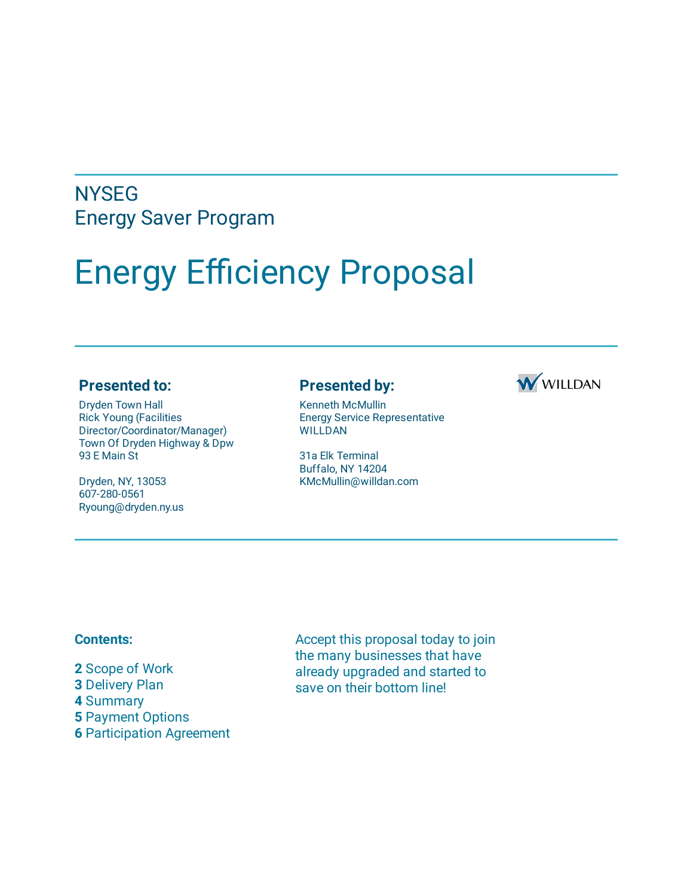## **NYSEG** Energy Saver Program

# Energy Efficiency Proposal

#### **Presented to:**

Dryden Town Hall Rick Young (Facilities Director/Coordinator/Manager) Town Of Dryden Highway & Dpw 93 E Main St

Dryden, NY, 13053 607-280-0561 Ryoung@dryden.ny.us

#### **Presented by:**



Kenneth McMullin Energy Service Representative WILLDAN

31a Elk Terminal Buffalo, NY 14204 KMcMullin@willdan.com

#### **Contents:**

 Scope of Work Delivery Plan **4** Summary Payment Options Participation Agreement Accept this proposal today to join the many businesses that have already upgraded and started to save on their bottom line!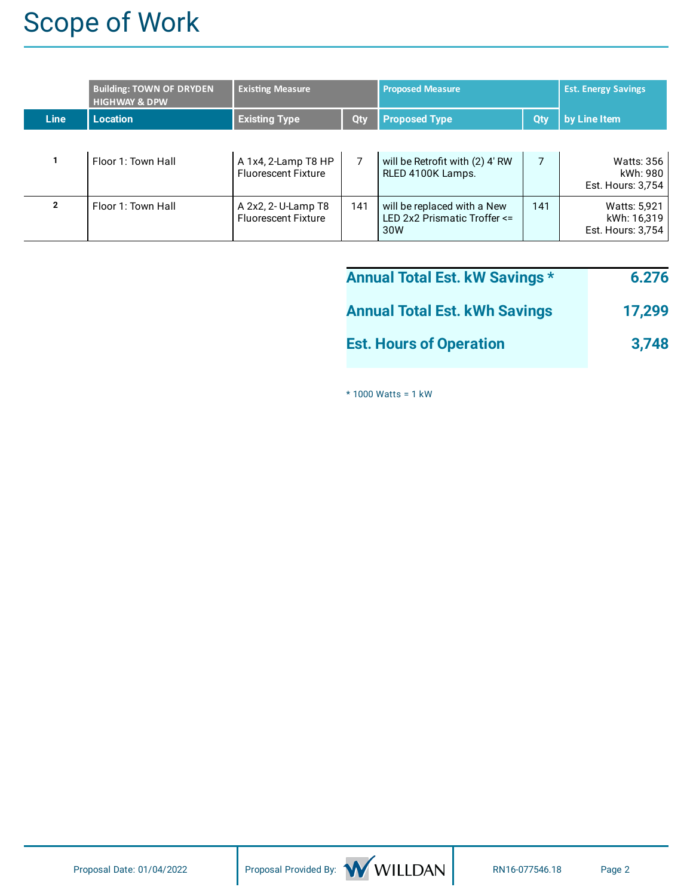# Scope of Work

|                | <b>Building: TOWN OF DRYDEN</b><br><b>HIGHWAY &amp; DPW</b> | <b>Existing Measure</b>                           |     | <b>Proposed Measure</b>                                            |            | <b>Est. Energy Savings</b>                              |
|----------------|-------------------------------------------------------------|---------------------------------------------------|-----|--------------------------------------------------------------------|------------|---------------------------------------------------------|
| <b>Line</b>    | <b>Location</b>                                             | <b>Existing Type</b>                              | Qty | <b>Proposed Type</b>                                               | <b>Qty</b> | by Line Item                                            |
|                | Floor 1: Town Hall                                          | A 1x4, 2-Lamp T8 HP<br><b>Fluorescent Fixture</b> |     | will be Retrofit with (2) 4' RW<br>RLED 4100K Lamps.               |            | <b>Watts: 356</b><br>kWh: 980<br>Est. Hours: 3,754      |
| $\overline{2}$ | Floor 1: Town Hall                                          | A 2x2, 2- U-Lamp T8<br><b>Fluorescent Fixture</b> | 141 | will be replaced with a New<br>LED 2x2 Prismatic Troffer <=<br>30W | 141        | <b>Watts: 5,921</b><br>kWh: 16,319<br>Est. Hours: 3,754 |

| <b>Annual Total Est. kW Savings *</b> | 6.276  |
|---------------------------------------|--------|
| <b>Annual Total Est. kWh Savings</b>  | 17,299 |
| <b>Est. Hours of Operation</b>        | 3,748  |

\* 1000 Watts = 1 kW

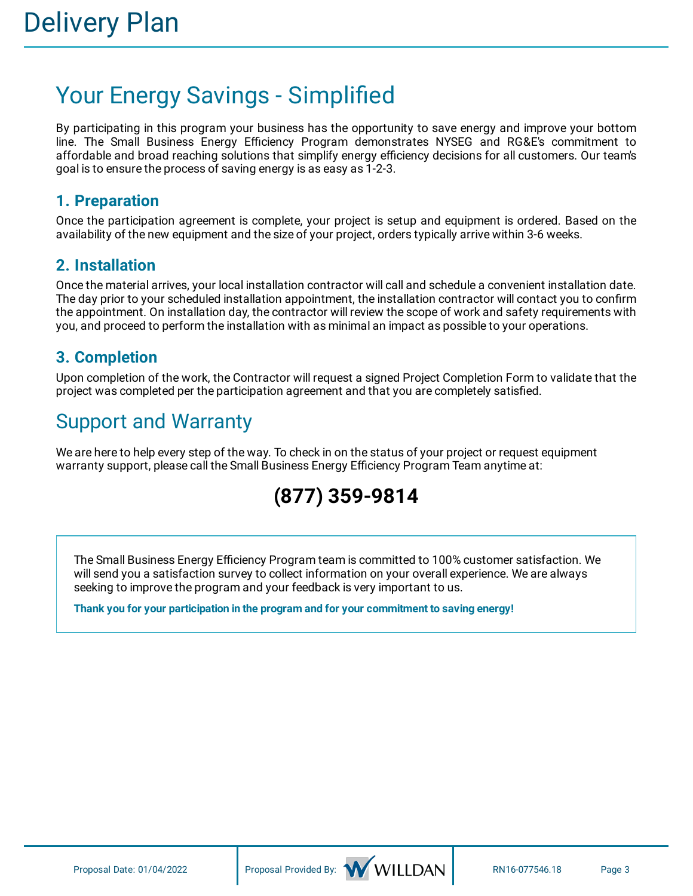# Your Energy Savings - Simplified

By participating in this program your business has the opportunity to save energy and improve your bottom line. The Small Business Energy Efficiency Program demonstrates NYSEG and RG&E's commitment to affordable and broad reaching solutions that simplify energy efficiency decisions for all customers. Our team's goal is to ensure the process of saving energy is as easy as 1-2-3.

### **1. Preparation**

Once the participation agreement is complete, your project is setup and equipment is ordered. Based on the availability of the new equipment and the size of your project, orders typically arrive within 3-6 weeks.

### **2. Installation**

Once the material arrives, your local installation contractor will call and schedule a convenient installation date. The day prior to your scheduled installation appointment, the installation contractor will contact you to confirm the appointment. On installation day, the contractor will review the scope of work and safety requirements with you, and proceed to perform the installation with as minimal an impact as possible to your operations.

### **3. Completion**

Upon completion of the work, the Contractor will request a signed Project Completion Form to validate that the project was completed per the participation agreement and that you are completely satisfied.

## Support and Warranty

We are here to help every step of the way. To check in on the status of your project or request equipment warranty support, please call the Small Business Energy Efficiency Program Team anytime at:

## **(877) 359-9814**

The Small Business Energy Efficiency Program team is committed to 100% customer satisfaction. We will send you a satisfaction survey to collect information on your overall experience. We are always seeking to improve the program and your feedback is very important to us.

**Thank you for your participation in the program and for your commitment to saving energy!**

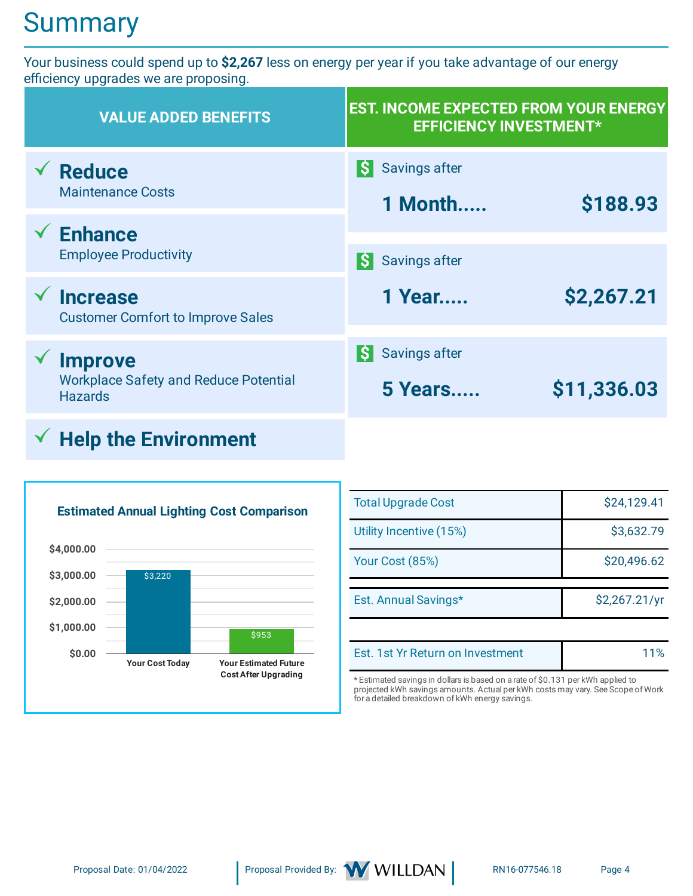# **Summary**

Your business could spend up to **\$2,267** less on energy per year if you take advantage of our energy efficiency upgrades we are proposing.

| <b>VALUE ADDED BENEFITS</b>                                                      | <b>EST. INCOME EXPECTED FROM YOUR ENERGY</b><br><b>EFFICIENCY INVESTMENT*</b> |             |
|----------------------------------------------------------------------------------|-------------------------------------------------------------------------------|-------------|
| <b>Reduce</b><br><b>Maintenance Costs</b>                                        | Savings after<br>ISI<br>1 Month                                               | \$188.93    |
| <b>Enhance</b><br><b>Employee Productivity</b>                                   | <b>Savings after</b>                                                          |             |
| <b>Increase</b><br><b>Customer Comfort to Improve Sales</b>                      | 1 Year                                                                        | \$2,267.21  |
| <b>Improve</b><br><b>Workplace Safety and Reduce Potential</b><br><b>Hazards</b> | Savings after<br><b>5 Years</b>                                               | \$11,336.03 |
|                                                                                  |                                                                               |             |

## **Help the Environment**



| <b>Total Upgrade Cost</b> | \$24,129.41   |
|---------------------------|---------------|
| Utility Incentive (15%)   | \$3,632.79    |
| Your Cost (85%)           | \$20,496.62   |
|                           |               |
| Est. Annual Savings*      | \$2,267.21/yr |
|                           |               |

\* Estimated savings in dollars is based on a rate of \$0.131 per kWh applied to projected kWh savings amounts. Actual per kWh costs may vary. See Scope of Work for a detailed breakdown of kWh energy savings.

Est. 1st Yr Return on Investment 11%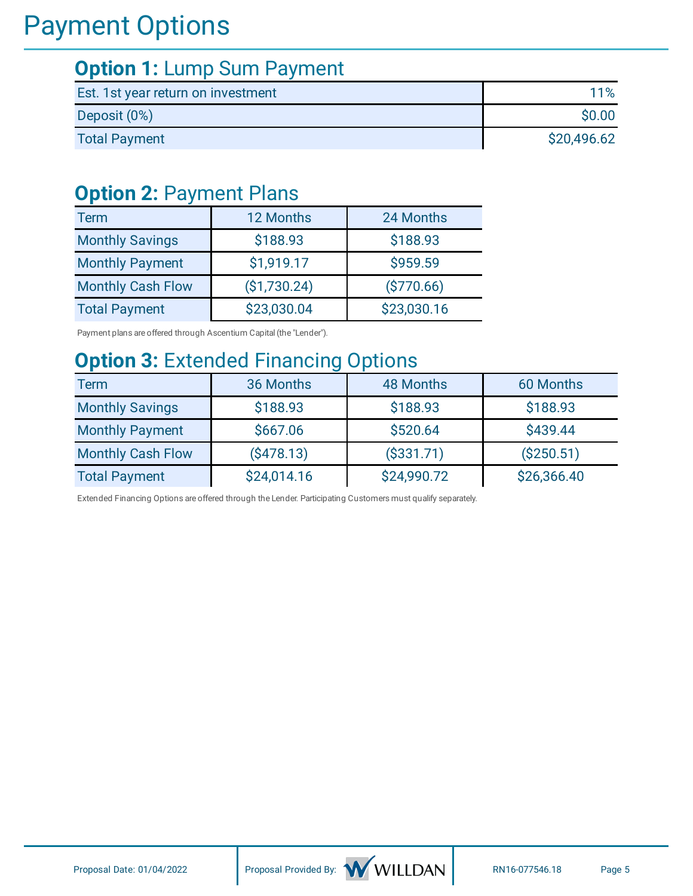# Payment Options

## **Option 1:** Lump Sum Payment

| Est. 1st year return on investment | 11%         |
|------------------------------------|-------------|
| Deposit (0%)                       | \$0.00      |
| <b>Total Payment</b>               | \$20,496.62 |

### **Option 2:** Payment Plans

| <b>Term</b>              | 12 Months    | 24 Months   |
|--------------------------|--------------|-------------|
| <b>Monthly Savings</b>   | \$188.93     | \$188.93    |
| <b>Monthly Payment</b>   | \$1,919.17   | \$959.59    |
| <b>Monthly Cash Flow</b> | (\$1,730.24) | ( \$770.66) |
| <b>Total Payment</b>     | \$23,030.04  | \$23,030.16 |

Payment plans are offered through Ascentium Capital (the "Lender").

## **Option 3:** Extended Financing Options

| <b>Term</b>              | 36 Months   | <b>48 Months</b> | 60 Months   |
|--------------------------|-------------|------------------|-------------|
| <b>Monthly Savings</b>   | \$188.93    | \$188.93         | \$188.93    |
| <b>Monthly Payment</b>   | \$667.06    | \$520.64         | \$439.44    |
| <b>Monthly Cash Flow</b> | (\$478.13)  | ( \$331.71)      | ( \$250.51) |
| <b>Total Payment</b>     | \$24,014.16 | \$24,990.72      | \$26,366.40 |

Extended Financing Options are offered through the Lender. Participating Customers must qualify separately.



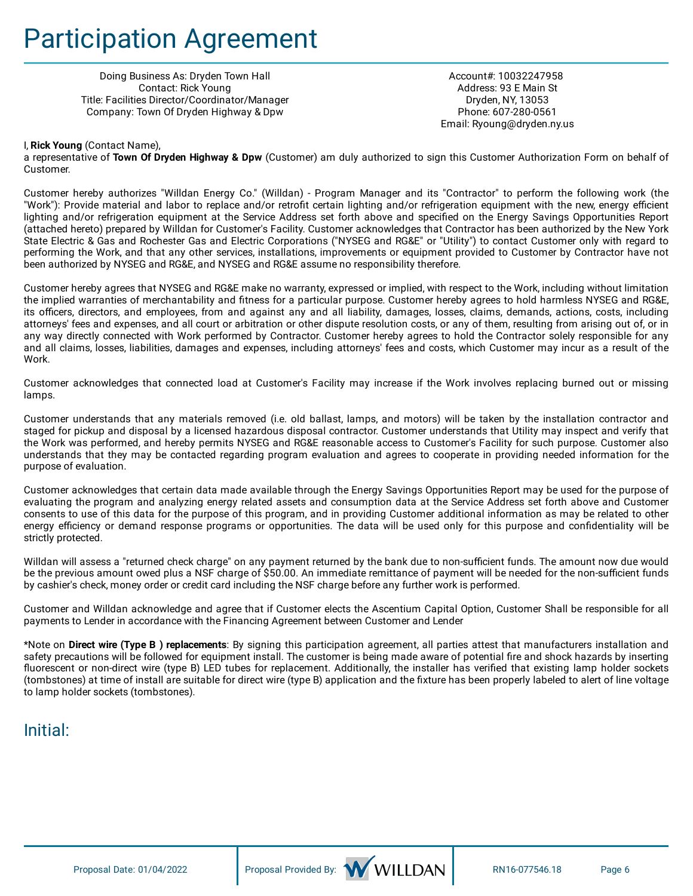# Participation Agreement

Doing Business As: Dryden Town Hall Contact: Rick Young Title: Facilities Director/Coordinator/Manager Company: Town Of Dryden Highway & Dpw

Account#: 10032247958 Address: 93 E Main St Dryden, NY, 13053 Phone: 607-280-0561 Email: Ryoung@dryden.ny.us

#### I, **Rick Young** (Contact Name),

a representative of **Town Of Dryden Highway & Dpw** (Customer) am duly authorized to sign this Customer Authorization Form on behalf of Customer.

Customer hereby authorizes "Willdan Energy Co." (Willdan) - Program Manager and its "Contractor" to perform the following work (the "Work"): Provide material and labor to replace and/or retrofit certain lighting and/or refrigeration equipment with the new, energy efficient lighting and/or refrigeration equipment at the Service Address set forth above and specified on the Energy Savings Opportunities Report (attached hereto) prepared by Willdan for Customer's Facility. Customer acknowledges that Contractor has been authorized by the New York State Electric & Gas and Rochester Gas and Electric Corporations ("NYSEG and RG&E" or "Utility") to contact Customer only with regard to performing the Work, and that any other services, installations, improvements or equipment provided to Customer by Contractor have not been authorized by NYSEG and RG&E, and NYSEG and RG&E assume no responsibility therefore.

Customer hereby agrees that NYSEG and RG&E make no warranty, expressed or implied, with respect to the Work, including without limitation the implied warranties of merchantability and fitness for a particular purpose. Customer hereby agrees to hold harmless NYSEG and RG&E, its officers, directors, and employees, from and against any and all liability, damages, losses, claims, demands, actions, costs, including attorneys' fees and expenses, and all court or arbitration or other dispute resolution costs, or any of them, resulting from arising out of, or in any way directly connected with Work performed by Contractor. Customer hereby agrees to hold the Contractor solely responsible for any and all claims, losses, liabilities, damages and expenses, including attorneys' fees and costs, which Customer may incur as a result of the **Work** 

Customer acknowledges that connected load at Customer's Facility may increase if the Work involves replacing burned out or missing lamps.

Customer understands that any materials removed (i.e. old ballast, lamps, and motors) will be taken by the installation contractor and staged for pickup and disposal by a licensed hazardous disposal contractor. Customer understands that Utility may inspect and verify that the Work was performed, and hereby permits NYSEG and RG&E reasonable access to Customer's Facility for such purpose. Customer also understands that they may be contacted regarding program evaluation and agrees to cooperate in providing needed information for the purpose of evaluation.

Customer acknowledges that certain data made available through the Energy Savings Opportunities Report may be used for the purpose of evaluating the program and analyzing energy related assets and consumption data at the Service Address set forth above and Customer consents to use of this data for the purpose of this program, and in providing Customer additional information as may be related to other energy efficiency or demand response programs or opportunities. The data will be used only for this purpose and confidentiality will be strictly protected.

Willdan will assess a "returned check charge" on any payment returned by the bank due to non-sufficient funds. The amount now due would be the previous amount owed plus a NSF charge of \$50.00. An immediate remittance of payment will be needed for the non-sufficient funds by cashier's check, money order or credit card including the NSF charge before any further work is performed.

Customer and Willdan acknowledge and agree that if Customer elects the Ascentium Capital Option, Customer Shall be responsible for all payments to Lender in accordance with the Financing Agreement between Customer and Lender

\*Note on **Direct wire (Type B ) replacements**: By signing this participation agreement, all parties attest that manufacturers installation and safety precautions will be followed for equipment install. The customer is being made aware of potential fire and shock hazards by inserting fluorescent or non-direct wire (type B) LED tubes for replacement. Additionally, the installer has verified that existing lamp holder sockets (tombstones) at time of install are suitable for direct wire (type B) application and the fixture has been properly labeled to alert of line voltage to lamp holder sockets (tombstones).

### $Initial:$